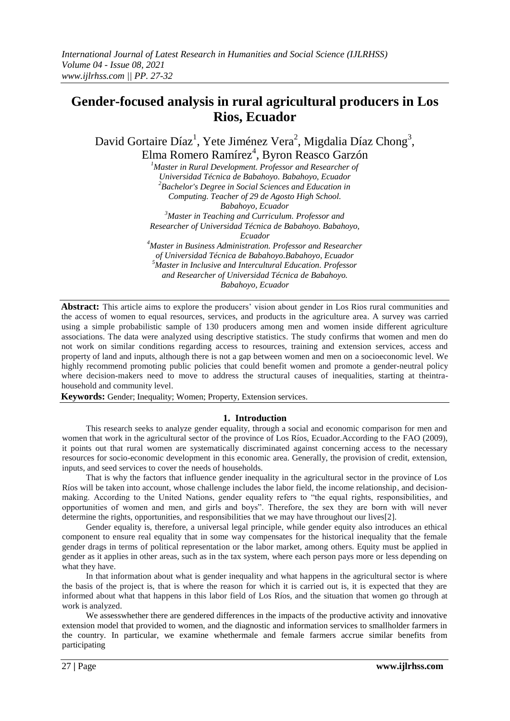# **Gender-focused analysis in rural agricultural producers in Los Rios, Ecuador**

David Gortaire Díaz<sup>1</sup>, Yete Jiménez Vera<sup>2</sup>, Migdalia Díaz Chong<sup>3</sup>, Elma Romero Ramírez<sup>4</sup>, Byron Reasco Garzón

*<sup>1</sup>Master in Rural Development. Professor and Researcher of Universidad Técnica de Babahoyo. Babahoyo, Ecuador <sup>2</sup>Bachelor's Degree in Social Sciences and Education in Computing. Teacher of 29 de Agosto High School. Babahoyo, Ecuador <sup>3</sup>Master in Teaching and Curriculum. Professor and Researcher of Universidad Técnica de Babahoyo. Babahoyo,* 

*Ecuador*

*<sup>4</sup>Master in Business Administration. Professor and Researcher of Universidad Técnica de Babahoyo.Babahoyo, Ecuador <sup>5</sup>Master in Inclusive and Intercultural Education. Professor and Researcher of Universidad Técnica de Babahoyo. Babahoyo, Ecuador*

**Abstract:** This article aims to explore the producers' vision about gender in Los Rios rural communities and the access of women to equal resources, services, and products in the agriculture area. A survey was carried using a simple probabilistic sample of 130 producers among men and women inside different agriculture associations. The data were analyzed using descriptive statistics. The study confirms that women and men do not work on similar conditions regarding access to resources, training and extension services, access and property of land and inputs, although there is not a gap between women and men on a socioeconomic level. We highly recommend promoting public policies that could benefit women and promote a gender-neutral policy where decision-makers need to move to address the structural causes of inequalities, starting at theintrahousehold and community level.

**Keywords:** Gender; Inequality; Women; Property, Extension services.

## **1. Introduction**

This research seeks to analyze gender equality, through a social and economic comparison for men and women that work in the agricultural sector of the province of Los Ríos, Ecuador.According to the FAO (2009), it points out that rural women are systematically discriminated against concerning access to the necessary resources for socio-economic development in this economic area. Generally, the provision of credit, extension, inputs, and seed services to cover the needs of households.

That is why the factors that influence gender inequality in the agricultural sector in the province of Los Ríos will be taken into account, whose challenge includes the labor field, the income relationship, and decisionmaking. According to the United Nations, gender equality refers to "the equal rights, responsibilities, and opportunities of women and men, and girls and boys". Therefore, the sex they are born with will never determine the rights, opportunities, and responsibilities that we may have throughout our lives[2].

Gender equality is, therefore, a universal legal principle, while gender equity also introduces an ethical component to ensure real equality that in some way compensates for the historical inequality that the female gender drags in terms of political representation or the labor market, among others. Equity must be applied in gender as it applies in other areas, such as in the tax system, where each person pays more or less depending on what they have.

In that information about what is gender inequality and what happens in the agricultural sector is where the basis of the project is, that is where the reason for which it is carried out is, it is expected that they are informed about what that happens in this labor field of Los Ríos, and the situation that women go through at work is analyzed.

We assess whether there are gendered differences in the impacts of the productive activity and innovative extension model that provided to women, and the diagnostic and information services to smallholder farmers in the country. In particular, we examine whethermale and female farmers accrue similar benefits from participating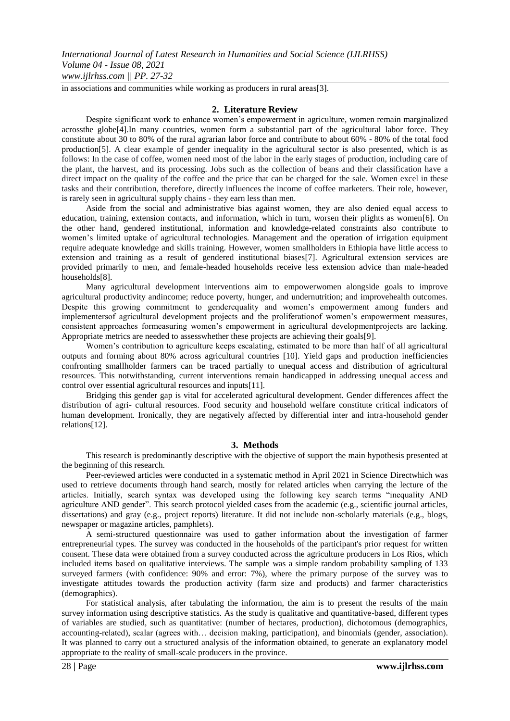in associations and communities while working as producers in rural areas[3].

#### **2. Literature Review**

Despite significant work to enhance women's empowerment in agriculture, women remain marginalized acrossthe globe[4].In many countries, women form a substantial part of the agricultural labor force. They constitute about 30 to 80% of the rural agrarian labor force and contribute to about 60% - 80% of the total food production[5]. A clear example of gender inequality in the agricultural sector is also presented, which is as follows: In the case of coffee, women need most of the labor in the early stages of production, including care of the plant, the harvest, and its processing. Jobs such as the collection of beans and their classification have a direct impact on the quality of the coffee and the price that can be charged for the sale. Women excel in these tasks and their contribution, therefore, directly influences the income of coffee marketers. Their role, however, is rarely seen in agricultural supply chains - they earn less than men.

Aside from the social and administrative bias against women, they are also denied equal access to education, training, extension contacts, and information, which in turn, worsen their plights as women[6]. On the other hand, gendered institutional, information and knowledge-related constraints also contribute to women's limited uptake of agricultural technologies. Management and the operation of irrigation equipment require adequate knowledge and skills training. However, women smallholders in Ethiopia have little access to extension and training as a result of gendered institutional biases[7]. Agricultural extension services are provided primarily to men, and female-headed households receive less extension advice than male-headed households[8].

Many agricultural development interventions aim to empowerwomen alongside goals to improve agricultural productivity andincome; reduce poverty, hunger, and undernutrition; and improvehealth outcomes. Despite this growing commitment to genderequality and women's empowerment among funders and implementersof agricultural development projects and the proliferationof women's empowerment measures, consistent approaches formeasuring women's empowerment in agricultural developmentprojects are lacking. Appropriate metrics are needed to assesswhether these projects are achieving their goals[9].

Women's contribution to agriculture keeps escalating, estimated to be more than half of all agricultural outputs and forming about 80% across agricultural countries [10]. Yield gaps and production inefficiencies confronting smallholder farmers can be traced partially to unequal access and distribution of agricultural resources. This notwithstanding, current interventions remain handicapped in addressing unequal access and control over essential agricultural resources and inputs[11].

Bridging this gender gap is vital for accelerated agricultural development. Gender differences affect the distribution of agri- cultural resources. Food security and household welfare constitute critical indicators of human development. Ironically, they are negatively affected by differential inter and intra-household gender relations[12].

#### **3. Methods**

This research is predominantly descriptive with the objective of support the main hypothesis presented at the beginning of this research.

Peer-reviewed articles were conducted in a systematic method in April 2021 in Science Directwhich was used to retrieve documents through hand search, mostly for related articles when carrying the lecture of the articles. Initially, search syntax was developed using the following key search terms "inequality AND agriculture AND gender". This search protocol yielded cases from the academic (e.g., scientific journal articles, dissertations) and gray (e.g., project reports) literature. It did not include non-scholarly materials (e.g., blogs, newspaper or magazine articles, pamphlets).

A semi-structured questionnaire was used to gather information about the investigation of farmer entrepreneurial types. The survey was conducted in the households of the participant's prior request for written consent. These data were obtained from a survey conducted across the agriculture producers in Los Rios, which included items based on qualitative interviews. The sample was a simple random probability sampling of 133 surveyed farmers (with confidence: 90% and error: 7%), where the primary purpose of the survey was to investigate attitudes towards the production activity (farm size and products) and farmer characteristics (demographics).

For statistical analysis, after tabulating the information, the aim is to present the results of the main survey information using descriptive statistics. As the study is qualitative and quantitative-based, different types of variables are studied, such as quantitative: (number of hectares, production), dichotomous (demographics, accounting-related), scalar (agrees with… decision making, participation), and binomials (gender, association). It was planned to carry out a structured analysis of the information obtained, to generate an explanatory model appropriate to the reality of small-scale producers in the province.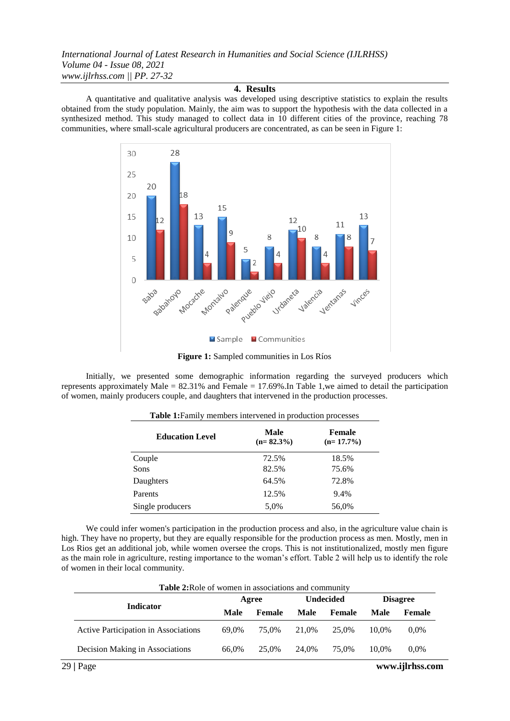*International Journal of Latest Research in Humanities and Social Science (IJLRHSS) Volume 04 - Issue 08, 2021 www.ijlrhss.com || PP. 27-32*

## **4. Results**

A quantitative and qualitative analysis was developed using descriptive statistics to explain the results obtained from the study population. Mainly, the aim was to support the hypothesis with the data collected in a synthesized method. This study managed to collect data in 10 different cities of the province, reaching 78 communities, where small-scale agricultural producers are concentrated, as can be seen in Figure 1:



**Figure 1:** Sampled communities in Los Ríos

Initially, we presented some demographic information regarding the surveyed producers which represents approximately Male = 82.31% and Female = 17.69%.In Table 1,we aimed to detail the participation of women, mainly producers couple, and daughters that intervened in the production processes.

| <b>Education Level</b> | Male<br>$(n=82.3\%)$ | <b>Female</b><br>$(n=17.7\%)$ |
|------------------------|----------------------|-------------------------------|
| Couple                 | 72.5%                | 18.5%                         |
| <b>Sons</b>            | 82.5%                | 75.6%                         |
| Daughters              | 64.5%                | 72.8%                         |
| Parents                | 12.5%                | 9.4%                          |
| Single producers       | 5.0%                 | 56,0%                         |

**Table 1:**Family members intervened in production processes

We could infer women's participation in the production process and also, in the agriculture value chain is high. They have no property, but they are equally responsible for the production process as men. Mostly, men in Los Rios get an additional job, while women oversee the crops. This is not institutionalized, mostly men figure as the main role in agriculture, resting importance to the woman's effort. Table 2 will help us to identify the role of women in their local community.

| <b>Table 2:</b> Role of women in associations and community |       |        |       |                  |       |                 |  |
|-------------------------------------------------------------|-------|--------|-------|------------------|-------|-----------------|--|
|                                                             |       | Agree  |       | <b>Undecided</b> |       | <b>Disagree</b> |  |
| <b>Indicator</b>                                            | Male  | Female | Male  | Female           | Male  | Female          |  |
| Active Participation in Associations                        | 69.0% | 75.0%  | 21.0% | 25.0%            | 10.0% | $0.0\%$         |  |
| Decision Making in Associations                             | 66.0% | 25.0%  | 24.0% | 75.0%            | 10.0% | $0.0\%$         |  |

29 **|** Page **www.ijlrhss.com**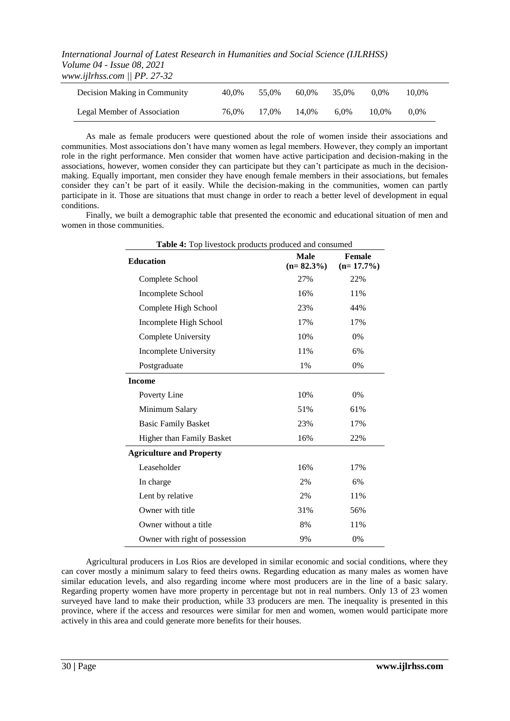*International Journal of Latest Research in Humanities and Social Science (IJLRHSS) Volume 04 - Issue 08, 2021 www.ijlrhss.com || PP. 27-32*

| Decision Making in Community | 40.0% | 55.0% | 60.0% | 35.0%   | $0.0\%$ | 10.0%   |
|------------------------------|-------|-------|-------|---------|---------|---------|
| Legal Member of Association  | 76.0% | 17.0% | 14.0% | $6.0\%$ | 10.0%   | $0.0\%$ |

As male as female producers were questioned about the role of women inside their associations and communities. Most associations don't have many women as legal members. However, they comply an important role in the right performance. Men consider that women have active participation and decision-making in the associations, however, women consider they can participate but they can't participate as much in the decisionmaking. Equally important, men consider they have enough female members in their associations, but females consider they can't be part of it easily. While the decision-making in the communities, women can partly participate in it. Those are situations that must change in order to reach a better level of development in equal conditions.

Finally, we built a demographic table that presented the economic and educational situation of men and women in those communities.

| Table 4: Top livestock products produced and consumed |                             |                        |  |
|-------------------------------------------------------|-----------------------------|------------------------|--|
| <b>Education</b>                                      | <b>Male</b><br>$(n=82.3\%)$ | Female<br>$(n=17.7\%)$ |  |
| Complete School                                       | 27%                         | 22%                    |  |
| Incomplete School                                     | 16%                         | 11%                    |  |
| Complete High School                                  | 23%                         | 44%                    |  |
| Incomplete High School                                | 17%                         | 17%                    |  |
| <b>Complete University</b>                            | 10%                         | 0%                     |  |
| Incomplete University                                 | 11%                         | 6%                     |  |
| Postgraduate                                          | 1%                          | 0%                     |  |
| <b>Income</b>                                         |                             |                        |  |
| Poverty Line                                          | 10%                         | 0%                     |  |
| Minimum Salary                                        | 51%                         | 61%                    |  |
| <b>Basic Family Basket</b>                            | 23%                         | 17%                    |  |
| Higher than Family Basket                             | 16%                         | 22%                    |  |
| <b>Agriculture and Property</b>                       |                             |                        |  |
| Leaseholder                                           | 16%                         | 17%                    |  |
| In charge                                             | 2%                          | 6%                     |  |
| Lent by relative                                      | 2%                          | 11%                    |  |
| Owner with title                                      | 31%                         | 56%                    |  |
| Owner without a title                                 | 8%                          | 11%                    |  |
| Owner with right of possession                        | 9%                          | 0%                     |  |

Agricultural producers in Los Rios are developed in similar economic and social conditions, where they can cover mostly a minimum salary to feed theirs owns. Regarding education as many males as women have similar education levels, and also regarding income where most producers are in the line of a basic salary. Regarding property women have more property in percentage but not in real numbers. Only 13 of 23 women surveyed have land to make their production, while 33 producers are men. The inequality is presented in this province, where if the access and resources were similar for men and women, women would participate more actively in this area and could generate more benefits for their houses.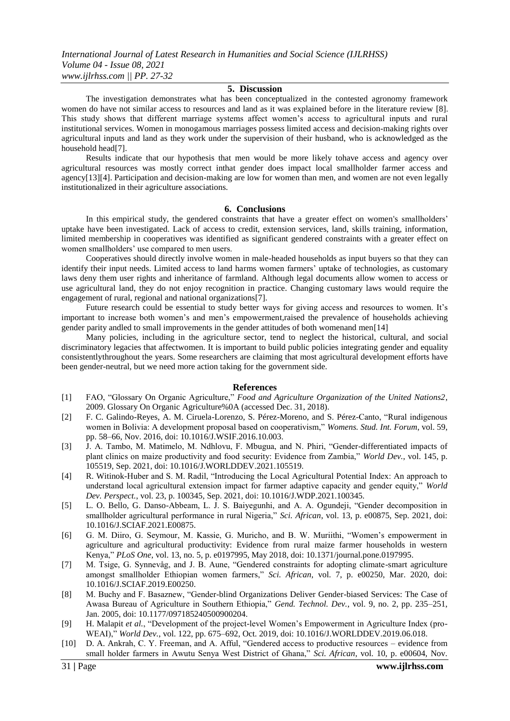#### **5. Discussion**

The investigation demonstrates what has been conceptualized in the contested agronomy framework women do have not similar access to resources and land as it was explained before in the literature review [8]. This study shows that different marriage systems affect women's access to agricultural inputs and rural institutional services. Women in monogamous marriages possess limited access and decision-making rights over agricultural inputs and land as they work under the supervision of their husband, who is acknowledged as the household head[7].

Results indicate that our hypothesis that men would be more likely tohave access and agency over agricultural resources was mostly correct inthat gender does impact local smallholder farmer access and agency[13][4]. Participation and decision-making are low for women than men, and women are not even legally institutionalized in their agriculture associations.

#### **6. Conclusions**

In this empirical study, the gendered constraints that have a greater effect on women's smallholders' uptake have been investigated. Lack of access to credit, extension services, land, skills training, information, limited membership in cooperatives was identified as significant gendered constraints with a greater effect on women smallholders' use compared to men users.

Cooperatives should directly involve women in male-headed households as input buyers so that they can identify their input needs. Limited access to land harms women farmers' uptake of technologies, as customary laws deny them user rights and inheritance of farmland. Although legal documents allow women to access or use agricultural land, they do not enjoy recognition in practice. Changing customary laws would require the engagement of rural, regional and national organizations[7].

Future research could be essential to study better ways for giving access and resources to women. It's important to increase both women's and men's empowerment,raised the prevalence of households achieving gender parity andled to small improvements in the gender attitudes of both womenand men[14]

Many policies, including in the agriculture sector, tend to neglect the historical, cultural, and social discriminatory legacies that affectwomen. It is important to build public policies integrating gender and equality consistentlythroughout the years. Some researchers are claiming that most agricultural development efforts have been gender-neutral, but we need more action taking for the government side.

#### **References**

- [1] FAO, "Glossary On Organic Agriculture," *Food and Agriculture Organization of the United Nations2*, 2009. Glossary On Organic Agriculture%0A (accessed Dec. 31, 2018).
- [2] F. C. Galindo-Reyes, A. M. Ciruela-Lorenzo, S. Pérez-Moreno, and S. Pérez-Canto, "Rural indigenous women in Bolivia: A development proposal based on cooperativism," *Womens. Stud. Int. Forum*, vol. 59, pp. 58–66, Nov. 2016, doi: 10.1016/J.WSIF.2016.10.003.
- [3] J. A. Tambo, M. Matimelo, M. Ndhlovu, F. Mbugua, and N. Phiri, "Gender-differentiated impacts of plant clinics on maize productivity and food security: Evidence from Zambia," *World Dev.*, vol. 145, p. 105519, Sep. 2021, doi: 10.1016/J.WORLDDEV.2021.105519.
- [4] R. Witinok-Huber and S. M. Radil, "Introducing the Local Agricultural Potential Index: An approach to understand local agricultural extension impact for farmer adaptive capacity and gender equity," *World Dev. Perspect.*, vol. 23, p. 100345, Sep. 2021, doi: 10.1016/J.WDP.2021.100345.
- [5] L. O. Bello, G. Danso-Abbeam, L. J. S. Baiyegunhi, and A. A. Ogundeji, "Gender decomposition in smallholder agricultural performance in rural Nigeria," *Sci. African*, vol. 13, p. e00875, Sep. 2021, doi: 10.1016/J.SCIAF.2021.E00875.
- [6] G. M. Diiro, G. Seymour, M. Kassie, G. Muricho, and B. W. Muriithi, "Women's empowerment in agriculture and agricultural productivity: Evidence from rural maize farmer households in western Kenya," *PLoS One*, vol. 13, no. 5, p. e0197995, May 2018, doi: 10.1371/journal.pone.0197995.
- [7] M. Tsige, G. Synnevåg, and J. B. Aune, "Gendered constraints for adopting climate-smart agriculture amongst smallholder Ethiopian women farmers," *Sci. African*, vol. 7, p. e00250, Mar. 2020, doi: 10.1016/J.SCIAF.2019.E00250.
- [8] M. Buchy and F. Basaznew, "Gender-blind Organizations Deliver Gender-biased Services: The Case of Awasa Bureau of Agriculture in Southern Ethiopia," *Gend. Technol. Dev.*, vol. 9, no. 2, pp. 235–251, Jan. 2005, doi: 10.1177/097185240500900204.
- [9] H. Malapit *et al.*, "Development of the project-level Women's Empowerment in Agriculture Index (pro-WEAI)," *World Dev.*, vol. 122, pp. 675–692, Oct. 2019, doi: 10.1016/J.WORLDDEV.2019.06.018.
- [10] D. A. Ankrah, C. Y. Freeman, and A. Afful, "Gendered access to productive resources evidence from small holder farmers in Awutu Senya West District of Ghana," *Sci. African*, vol. 10, p. e00604, Nov.